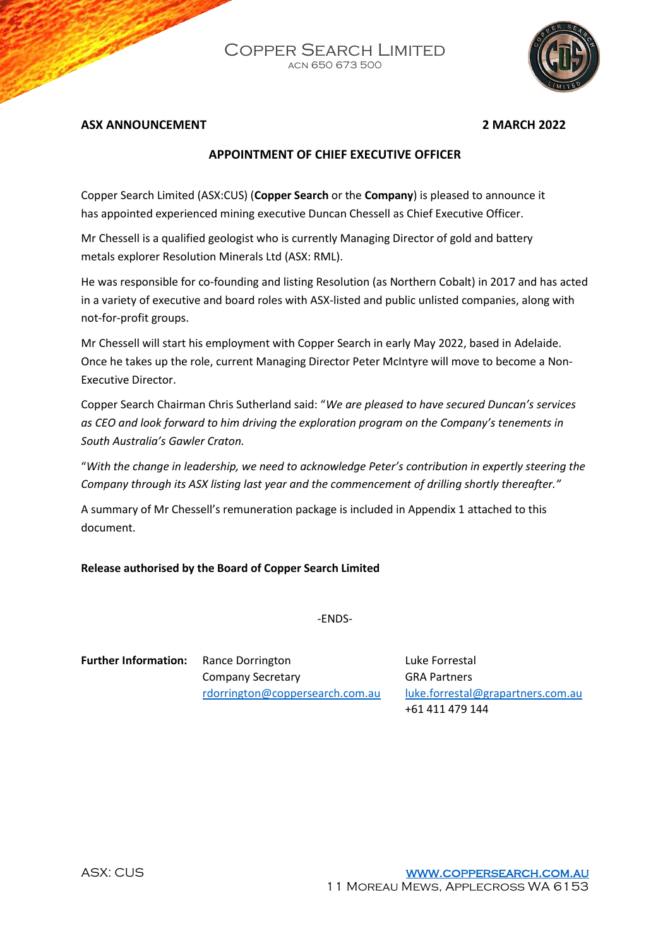Copper Search Limited acn 650 673 500



## **ASX ANNOUNCEMENT 2 MARCH 2022**

# **APPOINTMENT OF CHIEF EXECUTIVE OFFICER**

Copper Search Limited (ASX:CUS) (**Copper Search** or the **Company**) is pleased to announce it has appointed experienced mining executive Duncan Chessell as Chief Executive Officer.

Mr Chessell is a qualified geologist who is currently Managing Director of gold and battery metals explorer Resolution Minerals Ltd (ASX: RML).

He was responsible for co-founding and listing Resolution (as Northern Cobalt) in 2017 and has acted in a variety of executive and board roles with ASX-listed and public unlisted companies, along with not-for-profit groups.

Mr Chessell will start his employment with Copper Search in early May 2022, based in Adelaide. Once he takes up the role, current Managing Director Peter McIntyre will move to become a Non-Executive Director.

Copper Search Chairman Chris Sutherland said: "*We are pleased to have secured Duncan's services as CEO and look forward to him driving the exploration program on the Company's tenements in South Australia's Gawler Craton.*

"*With the change in leadership, we need to acknowledge Peter's contribution in expertly steering the Company through its ASX listing last year and the commencement of drilling shortly thereafter."*

A summary of Mr Chessell's remuneration package is included in Appendix 1 attached to this document.

### **Release authorised by the Board of Copper Search Limited**

-ENDS-

**Further Information:** Rance Dorrington **Rance Research Property** Luke Forrestal Company Secretary GRA Partners

[rdorrington@coppersearch.com.au](mailto:rdorrington@coppersearch.com.au) [luke.forrestal@grapartners.com.au](mailto:luke.forrestal@grapartners.com.au)  +61 411 479 144